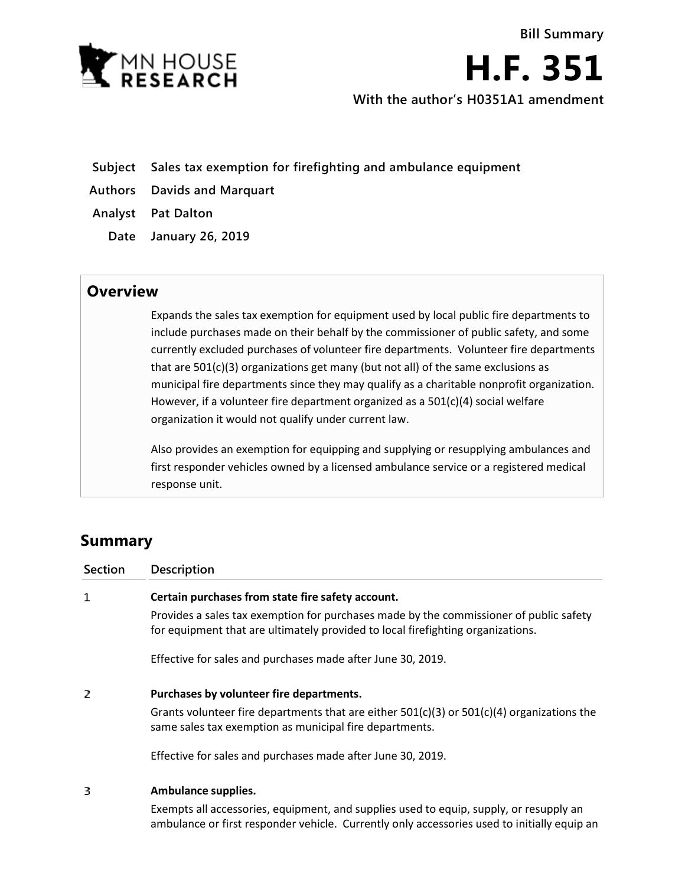

**H.F. 351**

**With the author's H0351A1 amendment**

- **Subject Sales tax exemption for firefighting and ambulance equipment**
- **Authors Davids and Marquart**

**Analyst Pat Dalton**

**Date January 26, 2019**

## **Overview**

Expands the sales tax exemption for equipment used by local public fire departments to include purchases made on their behalf by the commissioner of public safety, and some currently excluded purchases of volunteer fire departments. Volunteer fire departments that are 501(c)(3) organizations get many (but not all) of the same exclusions as municipal fire departments since they may qualify as a charitable nonprofit organization. However, if a volunteer fire department organized as a 501(c)(4) social welfare organization it would not qualify under current law.

Also provides an exemption for equipping and supplying or resupplying ambulances and first responder vehicles owned by a licensed ambulance service or a registered medical response unit.

## **Summary**

| <b>Section</b> | <b>Description</b>                                                                                                                                                        |
|----------------|---------------------------------------------------------------------------------------------------------------------------------------------------------------------------|
| 1              | Certain purchases from state fire safety account.                                                                                                                         |
|                | Provides a sales tax exemption for purchases made by the commissioner of public safety<br>for equipment that are ultimately provided to local firefighting organizations. |
|                | Effective for sales and purchases made after June 30, 2019.                                                                                                               |
| 2              | Purchases by volunteer fire departments.                                                                                                                                  |
|                | Grants volunteer fire departments that are either $501(c)(3)$ or $501(c)(4)$ organizations the<br>same sales tax exemption as municipal fire departments.                 |
|                | Effective for sales and purchases made after June 30, 2019.                                                                                                               |
| 3              | Ambulance supplies.                                                                                                                                                       |

Exempts all accessories, equipment, and supplies used to equip, supply, or resupply an ambulance or first responder vehicle. Currently only accessories used to initially equip an